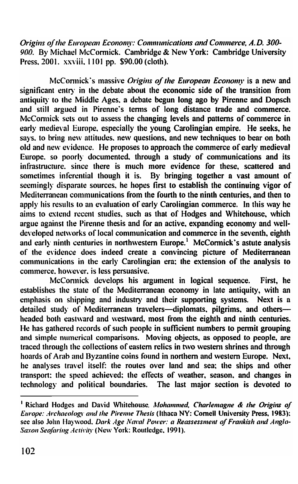Origins of the European Economy: Communications and Commerce, A.D. 300-900. By Michael McCormick. Cambridge & New York: Cambridge University Press. 2001. xxviii. 1101 pp. \$90.00 (cloth).

McCormick's massive Origins of the European Economy is a new and significant entry in the debate about the economic side of the transition from antiquity to the Middle Ages, a debate begun long ago by Pirenne and Dopsch and still argued in Pirenne"s terms of long distance trade and commerce. McCormick sets out to assess the changing levels and patterns of commerce in early medieval Europe, especially the young Carolingian empire. He seeks, he says, to bring new attitudes, new questions, and new techniques to bear on both old and new evidence. He proposes to approach the commerce of early medieval Europe, so poorly documented, through a study of communications and its infrastructure, since there is much more evidence for these, scattered and sometimes inferential though it is. By bringing together a vast amount of seemingly disparate sources, he hopes first to establish the continuing vigor of Mediterranean communications from the fourth to the ninth centuries, and then to apply his results to an evaluation of early Carolingian commerce. In this way he aims to extend recent studies, such as that of Hodges and Whitehouse, which argue against the Pirenne thesis and for an active, expanding economy and welldeveloped networks of local communication and commerce in the seventh, eighth and early ninth centuries in northwestern Europe.<sup>1</sup> McCormick's astute analysis of the evidence does indeed create a convincing picture of Mediterranean communications in the early Carolingian era; the extension of the analysis to commerce, however, is less persuasive.

McCormick develops his argument in logical sequence. First, he establishes the state of the Mediterranean economy in late antiquity, with an emphasis on shipping and industry and their supporting systems. Next is a detailed study of Mediterranean travelers—diplomats, pilgrims, and others headed both eastward and westward, most from the eighth and ninth centuries. He has gathered records of such people in sufficient numbers to permit grouping and simple numerical comparisons. Moving objects, as opposed to people, are traced through the collections of eastern relics in two western shrines and through hoards of Arab and Byzantine coins found in northern and western Europe. Next, he analyses travel itself: the routes over land and sea; the ships and other transport: the speed achieved: the effects of weather, season, and changes in technology and political boundaries. The last major section is devoted to

<sup>&</sup>lt;sup>1</sup> Richard Hodges and David Whitehouse. Mohammed, Charlemagne & the Origins of Europe: Archaeology and the Pirenne Thesis (Ithaca NY: Cornell University Press, 1983); see also John Haywood. Dark Age Naval Power: a Reassessment of Frankish and Anglo-Saxon Seafaring Activity (New York: Routledge, 1991).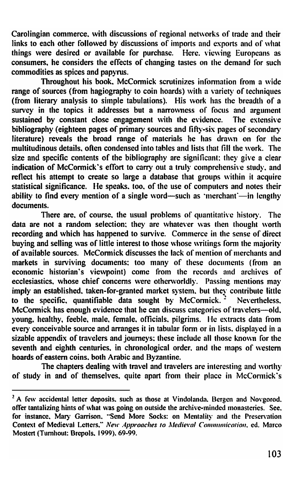Carolingian commerce, with discussions of regional networks of trade and their links to each other followed by discussions of imports and exports and of what things were desired or available for purchase. Here, viewing Europeans as consumers, he considers the effects of changing tastes on the demand for such commodities as spices and papyrus.

Throughout his book. McCormick scrutinizes information from a wide range of sources (from hagiography to coin hoards) with variety of techniques (from literary analysis to simple tabulations). His work has the breadth of survey in the topics it addresses but a narrowness of focus and argument sustained by constant close engagement with the evidence. The extensive bibliography (eighteen pages of primary sources and fifty-six pages of secondary literature) reveals the broad range of materials he has drawn on for the multitudinous details, often condensed into tables and lists that fill the work. The size and specific contents of the bibliography are significant: they give a clear indication of McCormick's effort to carry out a truly comprehensive study, and reflect his attempt to create so large a database that groups within it acquire statistical significance. He speaks, too, of the use of computers and notes their ability to find every mention of a single word—such as 'merchant'—in lengthy documents.

There are. of course, the usual problems of quantitative history. The data are not a random selection: they are whatever was then thought worth recording and which has happened to survive. Commerce in the sense of direct buying and selling was of little interest to those whose writings form the majority of available sources. McCormick discusses the lack of mention of merchants and markets in surviving documents: too many of these documents (from an economic historian's viewpoint) come from the records and archives of ecclesiastics, whose chief concerns were otherworldly. Passing mentions may imply an established, taken-for-granted market system, but they contribute little to the specific, quantifiable data sought by McCormick. Mevertheless. McCormick has enough evidence that he can discuss categories of travelers—old. young, healthy, feeble, male, female, officials, pilgrims. He extracts data from every conceivable source and arranges it in tabular form or in lists, displayed in a sizable appendix of travelers and journeys; these include all those known for the seventh and eighth centuries, in chronological order, and the maps of western hoards of eastern coins, both Arabic and Byzantine.

The chapters dealing with travel and travelers are interesting and worthy of study in and of themselves, quite apart from their place in McCormick's

 $2A$  few accidental letter deposits, such as those at Vindolanda. Bergen and Novgorod, offer tantalizing hints of what was going on outside the archive-minded monasteries. See. for instance. Mary Garrison. "Send More Socks: on Mentality and the Preservation Context of Medieval Letters." A'eir Approaches to Medieval Communication, ed. Marco Mostcrt (Tumhout: Drcpols. 1999). 69-99.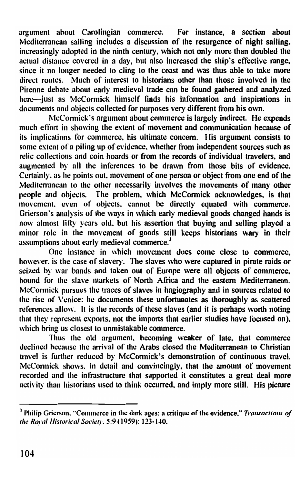argument about Carolingian commerce. For instance, a section about Mediterranean sailing includes a discussion of the resurgence of night sailing, increasingly adopted in the ninth century, which not only more than doubled the actual distance covered in a day, but also increased the ship's effective range, since it no longer needed to cling to the coast and was thus able to take more direct routes. Much of interest to historians other than those involved in the Pirenne debate about early medieval trade can be found gathered and analyzed here—just as McCormick himself finds his information and inspirations in documents and objects collected for purposes very different from his own.

McCormick's argument about commerce is largely indirect. He expends much effort in showing the extent of movement and communication because of its implications for commerce, his ultimate concern. His argument consists to some extent of a piling up of evidence, whether from independent sources such as relic collections and coin hoards or from the records of individual travelers, and augmented by all the inferences to be drawn from those bits of evidence. Certainly, as he points out. movement of one person or object from one end of the Mediterranean to the other necessarily involves the movements of many other people and objects. The problem, which McCormick acknowledges, is that movement, even of objects, cannot be directly equated with commerce. Grierson's analysis of the ways in which early medieval goods changed hands is now almost fifty years old, but his assertion that buying and selling played a minor role in the movement of goods still keeps historians wary in their assumptions about early medieval commerce.<sup>3</sup>

One instance in which movement does come close to commerce, however, is the case of slavery. The slaves who were captured in pirate raids or seized by war bands and taken out of Europe were all objects of commerce, bound for the slave markets of North Africa and the eastern Mediterranean. McCormick pursues the traces of slaves in hagiography and in sources related to (he rise of Venice: he documents these unfortunates as thoroughly as scattered references allow. It is the records of these slaves (and it is perhaps worth noting that they represent exports, not the imports that earlier studies have focused on), which bring us closest to unmistakable commerce.

Thus the old argument, becoming weaker of late, that commerce declined because the arrival of the Arabs closed the Mediterranean to Christian travel is further reduced by McCormick's demonstration of continuous travel. McCormick shows, in detail and convincingly, that the amount of movement recorded and the infrastructure that supported it constitutes a great deal more activity than historians used to think occurred, and imply more still. His picture

 $<sup>3</sup>$  Philip Grierson. "Commerce in the dark ages: a critique of the evidence," Transactions of</sup> the Royal Historical Society. 5:9 (1959): 123-140.